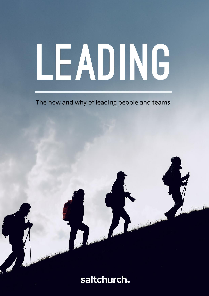# LEADING

The how and why of leading people and teams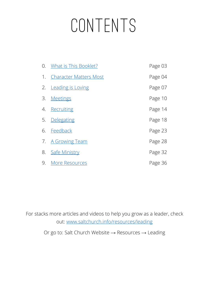## **CONTENTS**

|    | 0. What is This Booklet?      | Page 03 |
|----|-------------------------------|---------|
| 1. | <b>Character Matters Most</b> | Page 04 |
| 2. | <b>Leading is Loving</b>      | Page 07 |
| 3. | <b>Meetings</b>               | Page 10 |
| 4. | Recruiting                    | Page 14 |
| 5. | Delegating                    | Page 18 |
| 6. | Feedback                      | Page 23 |
| 7. | <b>A Growing Team</b>         | Page 28 |
| 8. | Safe Ministry                 | Page 32 |
| 9. | <b>More Resources</b>         | Page 36 |

For stacks more articles and videos to help you grow as a leader, check out: [www.saltchurch.info/resources/leading](http://www.saltchurch.info/resources/leading)

Or go to: Salt Church Website → Resources → Leading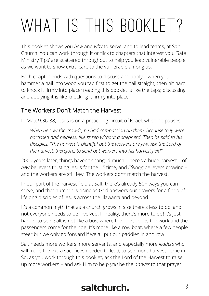## <span id="page-2-0"></span>WHAT IS THIS BOOKLET?

This booklet shows you *how* and *why* to serve, and to lead teams, at Salt Church. You can work through it or flick to chapters that interest you. 'Safe Ministry Tips' are scattered throughout to help you lead vulnerable people, as we want to show extra care to the vulnerable among us.

Each chapter ends with questions to discuss and apply – when you hammer a nail into wood you tap first to get the nail straight, then hit hard to knock it firmly into place; reading this booklet is like the taps; discussing and applying it is like knocking it firmly into place.

#### The Workers Don't Match the Harvest

In Matt 9:36-38, Jesus is on a preaching circuit of Israel, when he pauses:

*When he saw the crowds, he had compassion on them, because they were harassed and helpless, like sheep without a shepherd. Then he said to his disciples, "The harvest is plentiful but the workers are few. Ask the Lord of the harvest, therefore, to send out workers into his harvest field"*

2000 years later, things haven't changed much. There's a huge harvest – of *new* believers trusting Jesus for the 1 st time, and *lifelong* believers growing – and the workers are still few. The workers don't match the harvest.

In our part of the harvest field at Salt, there's already 50+ ways you can serve, and that number is rising as God answers our prayers for a flood of lifelong disciples of Jesus across the Illawarra and beyond.

It's a common myth that as a church grows in size there's less to do, and not everyone needs to be involved. In reality, there's more to do! It's just harder to see. Salt is not like a bus, where the driver does the work and the passengers come for the ride. It's more like a row boat, where a few people steer but we only go forward if we all put our paddles in and row.

Salt needs more workers, more servants, and especially more *leaders* who will make the extra sacrifices needed to lead, to see more harvest come in. So, as you work through this booklet, ask the Lord of the Harvest to raise up more workers – and ask Him to help *you* be the *answer* to that prayer.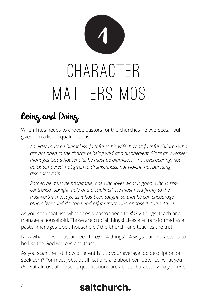<span id="page-3-0"></span>

## Being and Doing

When Titus needs to choose pastors for the churches he oversees, Paul gives him a list of qualifications.

*An elder must be blameless, faithful to his wife, having faithful children who are not open to the charge of being wild and disobedient. Since an overseer manages God's household, he must be blameless – not overbearing, not quick-tempered, not given to drunkenness, not violent, not pursuing dishonest gain.* 

*Rather, he must be hospitable, one who loves what is good, who is selfcontrolled, upright, holy and disciplined. He must hold firmly to the trustworthy message as it has been taught, so that he can encourage others by sound doctrine and refute those who oppose it. (Titus 1:6-9)*

As you scan that list, what does a pastor need to *do*? 2 things: teach and manage a household. Those are crucial things! Lives are transformed as a pastor manages God's household / the Church, and teaches the truth.

Now what does a pastor need to *be*? 14 things! 14 ways our character is to be like the God we love and trust.

As you scan the list, how different is it to your average job description on seek.com? For most jobs, qualifications are about competence, what you *do*. But almost all of God's qualifications are about character, who you *are*.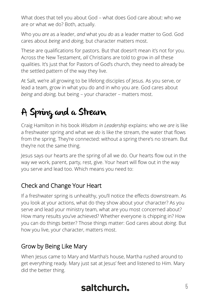What does that tell you about God – what does God care about: who we are or what we do? Both, actually.

Who you *are* as a leader, *and* what you *do* as a leader matter to God. God cares about *being* and *doing*, but character matters most.

These are qualifications for pastors. But that doesn't mean it's not for you. Across the New Testament, *all* Christians are told to grow in *all* these qualities. It's just that for Pastors of God's church, they need to already be the settled pattern of the way they live.

At Salt, we're all growing to be lifelong disciples of Jesus. As you serve, or lead a team, grow in what you do and in who you are. God cares about *being* and *doing,* but being – your character – matters most.

## A Spring and a Stream

Craig Hamilton in his book *Wisdom in Leadership* explains: who we *are* is like a freshwater spring and what we *do* is like the stream, the water that flows from the spring. They're connected: without a spring there's no stream. But they're not the same thing.

Jesus says our hearts are the spring of all we do. Our hearts flow out in the way we work, parent, party, rest, give. Your heart will flow out in the way you serve and lead too. Which means you need to:

#### Check and Change Your Heart

If a freshwater spring is unhealthy, you'll notice the effects downstream. As you look at your actions, what do they show about your character? As you serve and lead your ministry team, what are you most concerned about? How many results you've achieved? Whether everyone is chipping in? How you can do things better? Those things matter: God cares about *doing*. But how you live, your character, matters most.

#### Grow by Being Like Mary

When Jesus came to Mary and Martha's house, Martha rushed around to get everything ready. Mary just sat at Jesus' feet and listened to Him. Mary did the better thing.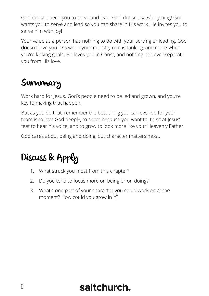God doesn't need you to serve and lead; God doesn't *need* anything! God wants you to serve and lead so you can share in His work. He invites you to serve him with joy!

Your value as a person has nothing to do with your serving or leading. God doesn't love you less when your ministry role is tanking, and more when you're kicking goals. He loves you in Christ, and nothing can ever separate you from His love.

## **Summary**

Work hard for Jesus. God's people need to be led and grown, and you're key to making that happen.

But as you do that, remember the best thing you can ever do for your team is to love God deeply, to serve because you want to, to sit at Jesus' feet to hear his voice, and to grow to look more like your Heavenly Father.

God cares about being and doing, but character matters most.

## Discuss & Apply

- 1. What struck you most from this chapter?
- 2. Do you tend to focus more on being or on doing?
- 3. What's one part of your character you could work on at the moment? How could you grow in it?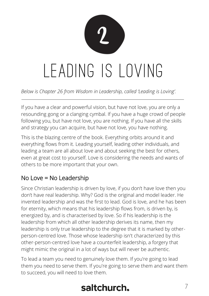<span id="page-6-0"></span>

*Below is Chapter 26 from Wisdom in Leadership, called 'Leading is Loving'.*

If you have a clear and powerful vision, but have not love, you are only a resounding gong or a clanging cymbal. If you have a huge crowd of people following you, but have not love, you are nothing. If you have all the skills and strategy you can acquire, but have not love, you have nothing.

This is the blazing centre of the book. Everything orbits around it and everything flows from it. Leading yourself, leading other individuals, and leading a team are all about love and about seeking the best for others, even at great cost to yourself. Love is considering the needs and wants of others to be more important that your own.

#### No Love = No Leadership

Since Christian leadership is driven by love, if you don't have love then you don't have real leadership. Why? God is the original and model leader. He invented leadership and was the first to lead. God is love, and he has been for eternity, which means that his leadership flows from, is driven by, is energized by, and is characterised by love. So if his leadership is the leadership from which all other leadership derives its name, then my leadership is only true leadership to the degree that it is marked by otherperson-centred love. Those whose leadership isn't characterized by this other-person-centred love have a counterfeit leadership, a forgery that might mimic the original in a lot of ways but will never be authentic.

To lead a team you need to genuinely love them. If you're going to lead them you need to serve them. If you're going to serve them and want them to succeed, you will need to love them.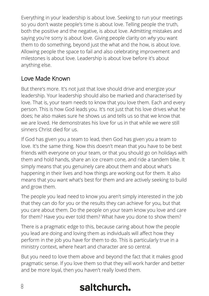Everything in your leadership is about love. Seeking to run your meetings so you don't waste people's time is about love. Telling people the truth, both the positive and the negative, is about love. Admitting mistakes and saying you're sorry is about love. Giving people clarity on *why* you want them to do something, beyond just the what and the how, is about love. Allowing people the space to fail and also celebrating improvement and milestones is about love. Leadership is about love before it's about anything else.

#### Love Made Known

But there's more. It's not just that love should drive and energize your leadership. Your leadership should also be marked and characterised by love. That is, your team needs to know that you love them. Each and every person. This is how God leads you. It's not just that his love drives what he does; he also makes sure he shows us and tells us so that we know that we are loved. He demonstrates his love for us in that while we were still sinners Christ died for us.

If God has given you a team to lead, then God has given you a team to love. It's the same thing. Now this doesn't mean that you have to be best friends with everyone on your team, or that you should go on holidays with them and hold hands, share an ice cream cone, and ride a tandem bike. It simply means that you genuinely care about them and about what's happening in their lives and how things are working out for them. It also means that you want what's best for them and are actively seeking to build and grow them.

The people you lead need to know you aren't simply interested in the job that they can do for you or the results they can achieve for you, but that you care about them. Do the people on your team know you love and care for them? Have you ever told them? What have you done to show them?

There is a pragmatic edge to this, because caring about how the people you lead are doing and loving them as individuals will affect how they perform in the job you have for them to do. This is particularly true in a ministry context, where heart and character are so central.

But you need to love them above and beyond the fact that it makes good pragmatic sense. If you love them so that they will work harder and better and be more loyal, then you haven't really loved them.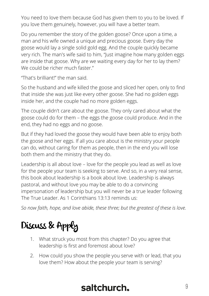You need to love them because God has given them to you to be loved. If you love them genuinely, however, you will have a better team.

Do you remember the story of the golden goose? Once upon a time, a man and his wife owned a unique and precious goose. Every day the goose would lay a single solid gold egg. And the couple quickly became very rich. The man's wife said to him, "Just imagine how many golden eggs are inside that goose. Why are we waiting every day for her to lay them? We could be richer much faster."

"That's brilliant!" the man said.

So the husband and wife killed the goose and sliced her open, only to find that inside she was just like every other goose. She had no golden eggs inside her, and the couple had no more golden eggs.

The couple didn't care about the goose. They only cared about what the goose could do for them – the eggs the goose could produce. And in the end, they had no eggs and no goose.

But if they had loved the goose they would have been able to enjoy both the goose and her eggs. If all you care about is the ministry your people can do, without caring for them as people, then in the end you will lose both them and the ministry that they do.

Leadership is all about love – love for the people you lead as well as love for the people your team is seeking to serve. And so, in a very real sense, this book about leadership is a book about love. Leadership is always pastoral, and without love you may be able to do a convincing impersonation of leadership but you will never be a true leader following The True Leader. As 1 Corinthians 13:13 reminds us:

*So now faith, hope, and love abide, these three; but the greatest of these is love.*

## Discuss & Apply

- 1. What struck you most from this chapter? Do you agree that leadership is first and foremost about love?
- 2. How could you show the people you serve with or lead, that you love them? How about the people your team is serving?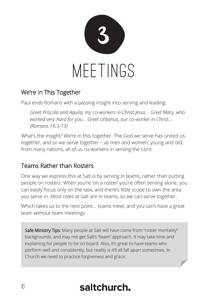<span id="page-9-0"></span>

#### We're in This Together

Paul ends Romans with a passing insight into serving and leading:

*Greet Priscilla and Aquila, my co-workers in Christ Jesus… Greet Mary, who worked very hard for you… Greet Urbanus, our co-worker in Christ… (Romans 16:3-13)*

What's the insight? We're in this together. The God we serve has united us together, and so we serve together – as men and women, young and old, from many nations, all of us co-workers in serving the Lord.

#### Teams Rather than Rosters

One way we express this at Salt is by serving in teams, rather than putting people on rosters. When you're 'on a roster' you're often serving alone, you can easily focus only on the task, and there's little scope to own the area you serve in. Most roles at Salt are in teams, so we can serve together.

Which takes us to the next point… teams meet, and you can't have a great team without team meetings.

Safe Ministry Tips: Many people at Salt will have come from "roster mentality" backgrounds, and may not get Salt's "team" approach. It may take time and explaining for people to be on board. Also, it's great to have teams who perform well and consistently, but reality is it'll all fall apart sometimes. In Church we need to practice forgiveness and grace.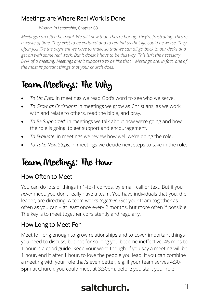#### Meetings are Where Real Work is Done

#### *Wisdom in Leadership*, Chapter 63

*Meetings can often be awful. We all know that. They're boring. They're frustrating. They're a waste of time. They exist to be endured and to remind us that life could be worse. They often feel like the payment we have to make so that we can all go back to our desks and get on with some real work. But it doesn't have to be this way. This isn't the necessary DNA of a meeting. Meetings aren't supposed to be like that… Meetings are, in fact, one of the most important things that your church does.*

## Team Meetings: The Why

- *To Lift Eyes:* in meetings we read God's word to see who we serve.
- *To Grow as Christians:* in meetings we grow as Christians, as we work with and relate to others, read the bible, and pray.
- *To Be Supported*: in meetings we talk about how we're going and how the role is going, to get support and encouragement.
- *To Evaluate:* in meetings we review how well we're doing the role.
- *To Take Next Steps:* in meetings we decide next steps to take in the role.

## Team Meetings: The How

#### How Often to Meet

You can do lots of things in 1-to-1 convos, by email, call or text. But if you *never* meet, you don't really have a team. You have individuals that you, the leader, are directing. A team works *together*. Get your team together as often as you can – at least once every 2 months, but more often if possible. The key is to meet together consistently and regularly.

#### How Long to Meet For

Meet for long enough to grow relationships and to cover important things you need to discuss, but not for so long you become ineffective. 45 mins to 1 hour is a good guide. Keep your word though: if you say a meeting will be 1 hour, end it after 1 hour, to love the people you lead. If you can combine a meeting with your role that's even better; e.g. if your team serves 4:30- 5pm at Church, you could meet at 3:30pm, before you start your role.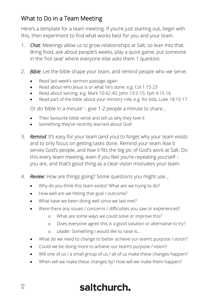#### What to Do in a Team Meeting

Here's a template for a team meeting. If you're just starting out, begin with this, then experiment to find what works best for you and your team.

- 1. *Chat:* Meetings allow us to grow relationships at Salt, so lean into that. Bring food, ask about people's weeks, play a quick game, put someone in the 'hot seat' where everyone else asks them 1 question.
- 2. *Bible*: Let the bible shape your team, and remind people who we serve.
	- Read last week's sermon passage again
	- Read about who Jesus is or what he's done: e.g. Col 1:15-23
	- Read about serving: e.g. Mark 10:42-45; John 13:3-15; Eph 4:15-16
	- Read part of the bible about your ministry role, e.g. for kids, Luke 18:15-17

Or do 'bible in a minute' – give 1-2 people a minute to share…

- Their favourite bible verse and tell us why they love it
- Something they've recently learned about God
- 3. *Remind:* It's easy for your team (and you) to forget why your team exists and to only focus on getting tasks done. Remind your team *how* it serves God's people, and *how* it fits the big pic of God's work at Salt. Do this every team meeting, even if you feel you're repeating yourself – you are, and that's good thing as a clear vision motivates your team.
- 4. *Review:* How are things going? Some questions you might use…
	- Why do you think this team exists? What are we trying to do?
	- How well are we hitting that goal / outcome?
	- What have we been doing well since we last met?
	- Were there any issues / concerns / difficulties you saw or experienced?
		- o What are some ways we could solve or improve this?
		- o Does everyone agree this is a good solution or alternative to try?
		- o *Leader:* Something I would like to raise is...
	- What do we need to change to better achieve our team's purpose / vision?
	- Could we be doing more to achieve our team's purpose / vision?
	- Will one of us / a small group of us / all of us make these changes happen?
	- When will we make these changes by? How will we make them happen?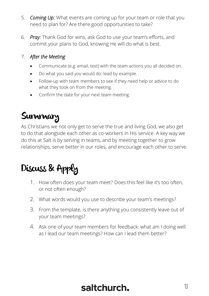- 5. *Coming Up:* What events are coming up for your team or role that you need to plan for? Are there good opportunities to take?
- 6. *Pray:* Thank God for wins, ask God to use your team's efforts, and commit your plans to God, knowing He will do what is best.

#### 7. *After the Meeting*

- Communicate (e.g. email, text) with the team actions you all decided on.
- Do what you said *you* would do: lead by example.
- Follow-up with team members to see if they need help or advice to do what they took on from the meeting.
- Confirm the date for your next team meeting.

## **Summary**

As Christians we not only get to serve the true and living God, we also get to do that alongside each other as co-workers in His service. A key way we do this at Salt is by serving in teams, and by meeting together to grow relationships, serve better in our roles, and encourage each other to serve.

## Discuss & Apply

- 1. How often does your team meet? Does this feel like it's too often, or not often enough?
- 2. What words would you use to describe your team's meetings?
- 3. From the template, is there anything you consistently leave out of your team meetings?
- 4. Ask one of your team members for feedback: what am I doing well as I lead our team meetings? How can I lead them better?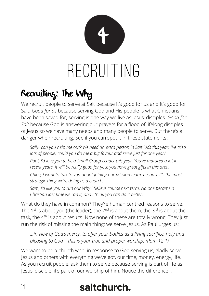<span id="page-13-0"></span>

## Recruiting: The Why

We recruit people to serve at Salt because it's good for us and it's good for Salt. *Good for us* because serving God and His people is what Christians have been saved for; serving is one way we live as Jesus' disciples. *Good for Salt* because God is answering our prayers for a flood of lifelong disciples of Jesus so we have many needs and many people to serve. But there's a danger when recruiting. See if you can spot it in these statements:

*Sally, can you help me out? We need an extra person in Salt Kids this year. I've tried lots of people; could you do me a big favour and serve just for one year? Paul, I'd love you to be a Small Group Leader this year. You've matured a lot in recent years. It will be really good for you; you have great gifts in this area. Chloe, I want to talk to you about joining our Mission team, because it's the most strategic thing we're doing as a church.*

*Sam, I'd like you to run our Why I Believe course next term. No one became a Christian last time we ran it, and I think you can do it better.*

What do they have in common? They're human centred reasons to serve. The 1<sup>st</sup> is about you (the leader), the  $2^{nd}$  is about them, the  $3^{rd}$  is about the task, the 4<sup>th</sup> is about results. Now none of these are totally wrong. They just run the risk of missing the main thing: we serve Jesus. As Paul urges us:

*…in view of God's mercy, to offer your bodies as a living sacrifice, holy and pleasing to God – this is your true and proper worship. (Rom 12:1)*

We want to be a church who, in response to God serving us, gladly serve Jesus and others with everything we've got, our time, money, energy, life. As you recruit people, ask them to serve because serving is part of life as Jesus' disciple, it's part of our worship of him. Notice the difference…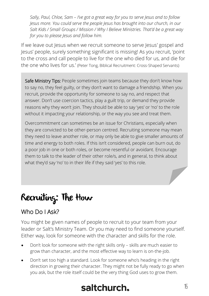*Sally, Paul, Chloe, Sam – I've got a great way for you to serve Jesus and to follow Jesus more. You could serve the people Jesus has brought into our church, in our Salt Kids / Small Groups / Mission / Why I Believe Ministries. That'd be a great way for you to please Jesus and follow him.*

If we leave out Jesus when we recruit someone to serve Jesus' gospel and Jesus' people, surely something significant is missing! As you recruit, 'point to the cross and call people to live for the one who died for us, and die for the one who lives for us.' (Peter Tong, Biblical Recruitment: Cross-Shaped Servants)

Safe Ministry Tips: People sometimes join teams because they don't know how to say no, they feel guilty, or they don't want to damage a friendship. When you recruit, provide the opportunity for someone to say no, and respect that answer. Don't use coercion tactics, play a guilt trip, or demand they provide reasons why they won't join. They should be able to say 'yes' or 'no' to the role without it impacting your relationship, or the way you see and treat them.

Overcommitment can sometimes be an issue for Christians, especially when they are convicted to be other-person centred. Recruiting someone may mean they need to leave another role, or may only be able to give smaller amounts of time and energy to both roles. If this isn't considered, people can burn out, do a poor job in one or both roles, or become resentful or avoidant. Encourage them to talk to the leader of their other role/s, and in general, to think about what they'd say 'no' to in their life if they said 'yes' to this role.

## Recruiting: The How

#### Who Do I Ask?

You might be given names of people to recruit to your team from your leader or Salt's Ministry Team. Or you may need to find someone yourself. Either way, look for someone with the character and skills for the role.

- Don't look for someone with the right skills only skills are much easier to grow than character, and the most effective way to learn is on-the-job.
- Don't set too high a standard. Look for someone who's heading in the right direction in growing their character. They might not be fully ready to go when you ask, but the role itself could be the very thing God uses to grow them.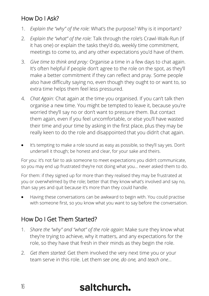#### How Do I Ask?

- 1. *Explain the "why" of the role:* What's the purpose? Why is it important?
- 2. *Explain the "what" of the role:* Talk through the role's Crawl-Walk-Run (if it has one) or explain the tasks they'd do, weekly time commitment, meetings to come to, and any other expectations you'd have of them.
- 3. *Give time to think and pray:* Organise a time in a few days to chat again. It's often helpful if people don't agree to the role on the spot, as they'll make a better commitment if they can reflect and pray. Some people also have difficulty saying no, even though they ought to or want to, so extra time helps them feel less pressured.
- 4. *Chat Again:* Chat again at the time you organised. If you can't talk then organise a new time. You might be tempted to leave it, because you're worried they'll say no or don't want to pressure them. But contact them again, even if you feel uncomfortable, or else you'll have wasted their time and your time by asking in the first place, plus they may be really keen to do the role and disappointed that you didn't chat again.
- It's tempting to make a role sound as easy as possible, so they'll say yes. Don't undersell it though; be honest and clear, for your sake and theirs.

For you: it's not fair to ask someone to meet expectations you didn't communicate, so you may end up frustrated they're not doing what you… never asked them to do.

For them: if they signed up for more than they realised they may be frustrated at you or overwhelmed by the role; better that they know what's involved and say no, than say yes and quit because it's more than they could handle.

• Having these conversations can be awkward to begin with. You could practise with someone first, so you know what you want to say before the conversation.

#### How Do I Get Them Started?

- 1. *Share the "why" and "what" of the role again*: Make sure they know what they're trying to achieve, why it matters, and any expectations for the role, so they have that fresh in their minds as they begin the role.
- 2. *Get them started*: Get them involved the very next time you or your team serve in this role. Let them *see one, do one,* and *teach one…*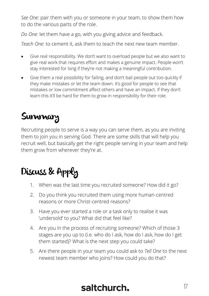*See One*: pair them with you or someone in your team, to show them how to do the various parts of the role.

*Do One*: let them have a go, with you giving advice and feedback.

*Teach One*: to cement it, ask them to teach the next new team member.

- Give real responsibility. We don't want to overload people but we also want to give real work that requires effort and makes a genuine impact. People won't stay interested for long if they're not making a meaningful contribution.
- Give them a real possibility for failing, and don't bail people out too quickly if they make mistakes or let the team down. It's good for people to see that mistakes or low commitment affect others and have an impact. If they don't learn this it'll be hard for them to grow in responsibility for their role.

## **Summary**

Recruiting people to serve is a way you can serve them, as you are inviting them to join you in serving God. There are some skills that will help you recruit well, but basically get the right people serving in your team and help them grow from wherever they're at.

## Discuss & Apply

- 1. When was the last time you recruited someone? How did it go?
- 2. Do you think you recruited them using more human-centred reasons or more Christ-centred reasons?
- 3. Have you ever started a role or a task only to realise it was 'undersold' to you? What did that feel like?
- 4. Are you in the process of recruiting someone? Which of those 3 stages are you up to (i.e. who do I ask, how do I ask, how do I get them started)? What is the next step you could take?
- 5. Are there people in your team you could ask to *Tell One* to the next newest team member who joins? How could you do that?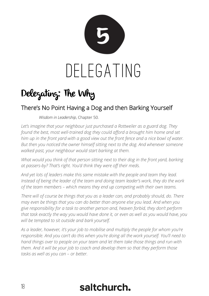<span id="page-17-0"></span>

## Delegating: The Why

#### There's No Point Having a Dog and then Barking Yourself

*Wisdom in Leadership*, Chapter 50.

*Let's imagine that your neighbour just purchased a Rottweiler as a guard dog. They found the best, most well-trained dog they could afford a brought him home and set him up in the front yard with a good view out the front fence and a nice bowl of water. But then you noticed the owner himself sitting next to the dog. And whenever someone walked past, your neighbour would start barking at them.*

*What would you think of that person sitting next to their dog in the front yard, barking at passers-by? That's right. You'd think they were off their meds.*

*And yet lots of leaders make this same mistake with the people and team they lead. Instead of being the leader of the team and doing team leader's work, they do the work of the team members – which means they end up competing with their own teams.*

*There will of course be things that you as a leader can, and probably should, do. There may even be things that you can do better than anyone else you lead. And when you give responsibility for a task to another person and, heaven forbid, they don't perform that task exactly the way you would have done it, or even as well as you would have, you will be tempted to sit outside and bark yourself.*

*As a leader, however, it's your job to mobilise and multiply the people for whom you're responsible. And you can't do this when you're doing all the work yourself. You'll need to hand things over to people on your team and let them take those things and run with them. And it will be your job to coach and develop them so that they perform those tasks as well as you can – or better.*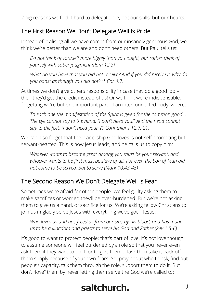2 big reasons we find it hard to delegate are, not our skills, but our hearts.

#### The First Reason We Don't Delegate Well is Pride

Instead of realising all we have comes from our insanely generous God, we think we're better than we are and don't need others. But Paul tells us:

*Do not think of yourself more highly than you ought, but rather think of yourself with sober judgment (Rom 12:3)*

*What do you have that you did not receive? And if you did receive it, why do you boast as though you did not? (1 Cor 4:7)*

At times we don't give others responsibility in case they do a good job – then they'd get the credit instead of us! Or we think we're indispensable, forgetting we're but one important part of an interconnected body, where:

*To each one the manifestation of the Spirit is given for the common good…*  The eye cannot say to the hand, "I don't need you!" And the head cannot *say to the feet, "I don't need you!" (1 Corinthians 12:7, 21)*

We can also forget that the leadership God loves is not self-promoting but servant-hearted. This is how Jesus leads, and he calls us to copy him:

*Whoever wants to become great among you must be your servant, and whoever wants to be first must be slave of all. For even the Son of Man did not come to be served, but to serve (Mark 10:43-45)*

#### The Second Reason We Don't Delegate Well is Fear

Sometimes we're afraid for other people. We feel guilty asking them to make sacrifices or worried they'll be over-burdened. But we're not asking them to give us a hand, or sacrifice for us. We're asking fellow Christians to join us in gladly serve Jesus with everything we've got - Jesus:

*Who loves us and has freed us from our sins by his blood, and has made us to be a kingdom and priests to serve his God and Father (Rev 1:5-6)*

It's good to want to protect people; that's part of love. It's not love though to assume someone will feel burdened by a role so that you never even ask them if they want to do it, or to give them a task then take it back off them simply because of your own fears. So, pray about who to ask, find out people's capacity, talk them through the role, support them to do it. But don't "love" them by never letting them serve the God we're called to: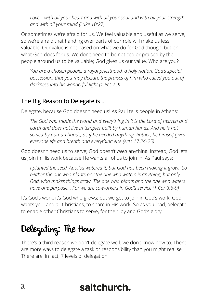*Love… with all your heart and with all your soul and with all your strength and with all your mind (Luke 10:27)*

Or sometimes we're afraid for us. We feel valuable and useful as we serve, so we're afraid that handing over parts of our role will make us less valuable. Our value is not based on what we do for God though, but on what God does for us. We don't need to be noticed or praised by the people around us to be valuable; God gives us our value. Who are you?

*You are a chosen people, a royal priesthood, a holy nation, God's special possession, that you may declare the praises of him who called you out of darkness into his wonderful light (1 Pet 2:9)*

#### The Big Reason to Delegate is…

Delegate, because God doesn't need us! As Paul tells people in Athens:

*The God who made the world and everything in it is the Lord of heaven and earth and does not live in temples built by human hands. And he is not served by human hands, as if he needed anything. Rather, he himself gives everyone life and breath and everything else (Acts 17:24-25)*

God doesn't need us to serve; God doesn't *need* anything! Instead, God lets us join in His work because He wants all of us to join in. As Paul says:

*I planted the seed, Apollos watered it, but God has been making it grow. So neither the one who plants nor the one who waters is anything, but only God, who makes things grow. The one who plants and the one who waters have one purpose… For we are co-workers in God's service (1 Cor 3:6-9)*

It's God's work, it's God who grows; but we get to join in God's work. God wants you, and all Christians, to share in His work. So as you lead, delegate to enable other Christians to serve, for their joy and God's glory.

## Delegating: The How

There's a third reason we don't delegate well: we don't know how to. There are more ways to delegate a task or responsibility than you might realise. There are, in fact, 7 levels of delegation.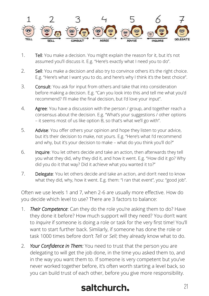

- 1. Tell: You make a decision. You might explain the reason for it, but it's not assumed you'll discuss it. E.g. "Here's exactly what I need you to do".
- 2. Sell: You make a decision and also try to convince others it's the right choice. E.g. "Here's what I want you to do, and here's why I think it's the best choice".
- 3. Consult: You ask for input from others and take that into consideration before making a decision. E.g. "Can you look into this and tell me what you'd recommend? I'll make the final decision, but I'd love your input".
- 4. Agree: You have a discussion with the person / group, and together reach a consensus about the decision. E.g. "What's your suggestions / other options – it seems most of us like option B, so that's what we'll go with".
- 5. Advise: You offer others your opinion and hope they listen to your advice, but it's their decision to make, not yours. E.g. "Here's what I'd recommend and why, but it's your decision to make – what do you think you'll do?"
- 6. Inquire: You let others decide and take an action, then afterwards they tell you what they did, why they did it, and how it went. E.g. "How did it go? Why did you do it that way? Did it achieve what you wanted it to?"
- 7. Delegate: You let others decide and take an action, and don't need to know what they did, why, how it went. E.g. them: "I ran that event", you: "good job".

Often we use levels 1 and 7, when 2-6 are usually more effective. How do you decide which level to use? There are 3 factors to balance:

- 1. *Their Competence*: Can they do the role you're asking them to do? Have they done it before? How much support will they need? You don't want to *Inquire* if someone is doing a role or task for the very first time! You'll want to start further back. Similarly, if someone has done the role or task 1000 times before don't *Tell* or *Sell*; they already know what to do.
- 2. *Your Confidence in Them:* You need to trust that the person you are delegating to will get the job done, in the time you asked them to, and in the way you want them to. If someone is very competent but you've never worked together before, it's often worth starting a level back, so you can build trust of each other, before you give more responsibility.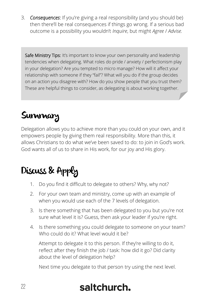3. *Consequences*: If you're giving a real responsibility (and you should be) then there'll be real consequences if things go wrong. If a serious bad outcome is a possibility you wouldn't *Inquire*, but might *Agree* / *Advise.*

Safe Ministry Tips: It's important to know your own personality and leadership tendencies when delegating. What roles do pride / anxiety / perfectionism play in your delegation? Are you tempted to micro manage? How will it affect your relationship with someone if they "fail"? What will you do if the group decides on an action you disagree with? How do you show people that you trust them? These are helpful things to consider, as delegating is about working together.

## **Summary**

Delegation allows you to achieve more than you could on your own, and it empowers people by giving them real responsibility. More than this, it allows Christians to do what we've been saved to do: to join in God's work. God wants all of us to share in His work, for our joy and His glory.

## Discuss & Apply

- 1. Do you find it difficult to delegate to others? Why, why not?
- 2. For your own team and ministry, come up with an example of when you would use each of the 7 levels of delegation.
- 3. Is there something that has been delegated to you but you're not sure what level it is? Guess, then ask your leader if you're right.
- 4. Is there something you could delegate to someone on your team? Who could do it? What level would it he?

Attempt to delegate it to this person. If they're willing to do it, reflect after they finish the job / task: how did it go? Did clarity about the level of delegation help?

Next time you delegate to that person try using the next level.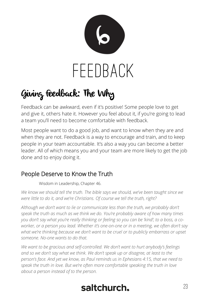<span id="page-22-0"></span>

## Giving Feedback: The Why

Feedback can be awkward, even if it's positive! Some people love to get and give it, others hate it. However you feel about it, if you're going to lead a team you'll need to become comfortable with feedback.

Most people want to do a good job, and want to know when they are and when they are not. Feedback is a way to encourage and train, and to keep people in your team accountable. It's also a way you can become a better leader. All of which means you and your team are more likely to get the job done and to enjoy doing it.

#### People Deserve to Know the Truth

Wisdom in Leadership, Chapter 46.

*We know we should tell the truth. The bible says we should, we've been taught since we were little to do it, and we're Christians. Of course we tell the truth, right?*

*Although we don't want to lie or communicate less than the truth, we probably don't speak the truth as much as we think we do. You're probably aware of how many times you don't say what you're really thinking or feeling so you can be 'kind'; to a boss, a coworker, or a person you lead. Whether it's one-on-one or in a meeting, we often don't say what we're thinking because we don't want to be cruel or to publicly embarrass or upset someone. No-one wants to do that.*

*We want to be gracious and self-controlled. We don't want to hurt anybody's feelings and so we don't say what we think. We don't speak up or disagree, at least to the person's face. And yet we know, as Paul reminds us in Ephesians 4:15, that we need to speak the truth in love. But we're often more comfortable speaking the truth in love about a person instead of to the person.*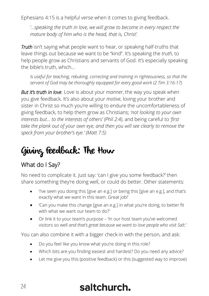Ephesians 4:15 is a helpful verse when it comes to giving feedback.

*'…speaking the truth in love, we will grow to become in every respect the mature body of him who is the head, that is, Christ'.* 

*Truth* isn't saying what people want to hear, or speaking half-truths that leave things out because we want to be "kind". It's speaking the *truth*, to help people grow as Christians and servants of God. It's especially speaking the bible's truth, which…

*Is useful for teaching, rebuking, correcting and training in righteousness, so that the servant of God may be thoroughly equipped for every good work (2 Tim 3:16-17)* 

*But it's truth in love*. Love is about your *manner*, the way you speak when you give feedback. It's also about your *motive*, loving your brother and sister in Christ so much you're willing to endure the uncomfortableness of giving feedback, to help them grow as Christians; *'not looking to your own interests but… to the interests of others' (Phil 2:4)*, and being careful to *'first take the plank out of your own eye, and then you will see clearly to remove the speck from your brother's eye.' (Matt 7:5)*

## Giving Feedback: The How

#### What do I Say?

No need to complicate it. Just say: 'can I give you some feedback?' then share something they're doing well, or could do better. Other statements:

- 'I've seen you doing this [give an e.g.] or being this [give an e.g.], and that's exactly what we want in this team. Great job!'
- 'Can you make this change [give an e.g.] in what you're doing, to better fit with what we want our team to do?'
- Or link it to your team's purpose 'In our host team you've welcomed visitors so well *and that's great because we want to love people who visit Salt*.'

You can also combine it with a bigger check-in with the person, and ask:

- Do you feel like you know what you're doing in this role?
- Which bits are you finding easiest and hardest? Do you need any advice?
- Let me give you this (positive feedback) or this (suggested way to improve)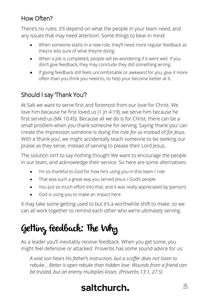#### How Often?

There's no rules. It'll depend on what the people in your team need, and any issues that may need attention. Some things to bear in mind:

- When someone starts in a new role, they'll need more regular feedback as they're less sure of what they're doing.
- When a job is completed, people will be wondering if it went well. If you don't give feedback, they may conclude they did something wrong.
- If giving feedback still feels uncomfortable or awkward for you, give it more often than you think you need to, to help your become better at it.

#### Should I say Thank You?

At Salt we want to serve first and foremost from our love for Christ. We love him because he first loved us (1 Jn 4:19); we serve him because he first served us (Mk 10:45). Because all we do is for Christ, there can be a small problem when you thank someone for serving. Saying 'thank you' can create the impression someone is doing the role *for us* instead of *for Jesus*. With a 'thank you', we might accidentally teach someone to be seeking our praise as they serve, instead of serving to please their Lord Jesus.

The solution isn't to say nothing though! We want to encourage the people in our team, and acknowledge their service. So here are some alternatives:

- I'm so thankful to God for how he's using you in this team / role
- That was such a great way you served lesus / God's people
- You put so much effort into that, and it was really appreciated by (person)
- God is using you to make an impact here

It may take some getting used to but it's a worthwhile shift to make, so we can all work together to remind each other who we're ultimately serving.

## Getting Feedback: The Why

As a leader you'll inevitably receive feedback. When you get some, you might feel defensive or attacked. Proverbs has some sound advice for us:

*A wise son hears his father's instruction, but a scoffer does not listen to rebuke… Better is open rebuke than hidden love. Wounds from a friend can be trusted, but an enemy multiplies kisses. (Proverbs 13:1, 27:5)*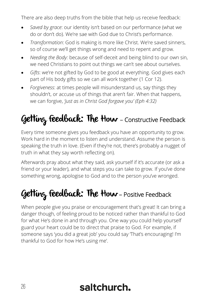There are also deep truths from the bible that help us receive feedback:

- *Saved by grace*: our identity isn't based on our performance (what we do or don't do). We're sae with God due to Christ's performance.
- *Transformation*: God is making is more like Christ. We're saved sinners, so of course we'll get things wrong and need to repent and grow.
- *Needing the Body:* because of self-deceit and being blind to our own sin, we need Christians to point out things we can't see about ourselves.
- *Gifts*: we're not gifted by God to be good at everything. God gives each part of His body gifts so we can all work together (1 Cor 12).
- *Forgiveness*: at times people will misunderstand us, say things they shouldn't, or accuse us of things that aren't fair. When that happens, we can forgive, *'just as in Christ God forgave you' (Eph 4:32)*

## Getting feedback: The How - Constructive Feedback

Every time someone gives you feedback you have an opportunity to grow. Work hard in the moment to listen and understand. Assume the person is speaking the truth in love. (Even if they're not, there's probably a nugget of truth in what they say worth reflecting on).

Afterwards pray about what they said, ask yourself if it's accurate (or ask a friend or your leader), and what steps you can take to grow. If you've done something wrong, apologise to God and to the person you've wronged.

## Getting feedback: The How-Positive Feedback

When people give you praise or encouragement that's great! It can bring a danger though, of feeling proud to be noticed rather than thankful to God for what He's done in and through you. One way you could help yourself guard your heart could be to direct that praise to God. For example, if someone says 'you did a great job' you could say 'That's encouraging! I'm thankful to God for how He's using me'.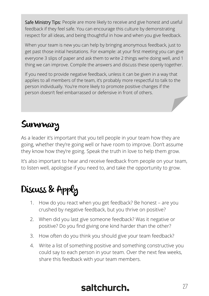Safe Ministry Tips: People are more likely to receive and give honest and useful feedback if they feel safe. You can encourage this culture by demonstrating respect for all ideas, and being thoughtful in how and when you give feedback.

When your team is new you can help by bringing anonymous feedback, just to get past those initial hesitations. For example: at your first meeting you can give everyone 3 slips of paper and ask them to write 2 things we're doing well, and 1 thing we can improve. Compile the answers and discuss these openly together.

If you need to provide negative feedback, unless it can be given in a way that applies to all members of the team, it's probably more respectful to talk to the person individually. You're more likely to promote positive changes if the person doesn't feel embarrassed or defensive in front of others.

## **Summary**

As a leader it's important that you tell people in your team how they are going, whether they're going well or have room to improve. Don't assume they know how they're going. Speak the truth in love to help them grow.

It's also important to hear and receive feedback from people on your team, to listen well, apologise if you need to, and take the opportunity to grow.

#### Discuss & Apply

- 1. How do you react when you get feedback? Be honest are you crushed by negative feedback, but you thrive on positive?
- 2. When did you last give someone feedback? Was it negative or positive? Do you find giving one kind harder than the other?
- 3. How often do you think you should give your team feedback?
- 4. Write a list of something positive and something constructive you could say to each person in your team. Over the next few weeks, share this feedback with your team members.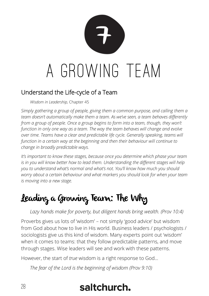<span id="page-27-0"></span>

#### Understand the Life-cycle of a Team

*Wisdom in Leadership,* Chapter 45

*Simply gathering a group of people, giving them a common purpose, and calling them a team doesn't automatically make them a team. As we've seen, a team behaves differently from a group of people. Once a group begins to form into a team, though, they won't function in only one way as a team. The way the team behaves will change and evolve over time. Teams have a clear and predictable life cycle. Generally speaking, teams will function in a certain way at the beginning and then their behaviour will continue to change in broadly predictable ways.*

*It's important to know these stages, because once you determine which phase your team*  is in you will know better how to lead them. Understanding the different stages will help *you to understand what's normal and what's not. You'll know how much you should worry about a certain behaviour and what markers you should look for when your team is moving into a new stage.*

## Leading a Growing Team: The Why

*Lazy hands make for poverty, but diligent hands bring wealth. (Prov 10:4)*

Proverbs gives us lots of 'wisdom' – not simply 'good advice' but wisdom from God about how to live in His world. Business leaders / psychologists / sociologists give us this kind of wisdom. Many experts point out 'wisdom' when it comes to teams: that they follow predictable patterns, and move through stages. Wise leaders will see and work with these patterns.

However, the start of *true* wisdom is a right response to God…

*The fear of the Lord is the beginning of wisdom (Prov 9:10)*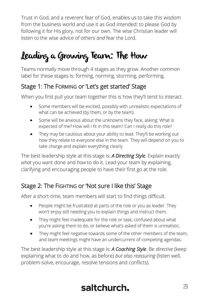Trust in God, and a reverent fear of God, enables us to take this wisdom from the business world and use it as God intended: to please God by following it for His glory, not for our own. The wise Christian leader will listen to the wise advice of others *and* fear the Lord.

## Leading a Growing Team: The How

Teams normally move through 4 stages as they grow. Another common label for these stages is: forming, norming, storming, performing.

#### Stage 1: The FORMING or 'Let's get started' Stage

When you first pull your team together this is how they'll tend to interact.

- Some members will be excited, possibly with unrealistic expectations of what can be achieved (by them, or by the team).
- Some will be anxious about the unknowns they face, asking: What is expected of me? How will I fit in this team? Can I really do this role?
- They may be cautious about your ability to lead. They'll be working out how they relate to everyone else in the team. They will depend on you to take charge and explain everything clearly

The best leadership style at this stage is: *A Directing Style.* Explain exactly *what* you want done and *how* to do it. Lead your team by explaining, clarifying and encouraging people to have their first go at the role.

#### Stage 2: The FIGHTING or 'Not sure I like this' Stage

After a short-time, team members will start to find things difficult.

- People might be frustrated at parts of the role or you as leader. They won't enjoy still needing you to explain things and instruct them.
- They might feel inadequate for the role or task, confused about what you're asking them to do, or believe what's asked of them is unrealistic.
- They might feel negative towards some of the other members of the team, and team meetings might have an undercurrent of competing agendas.

The best leadership style at this stage is: *A Coaching Style*. Be *directive* (keep explaining what to do and how, as before) *but also reassuring* (listen well, problem-solve, encourage, resolve tensions and conflicts).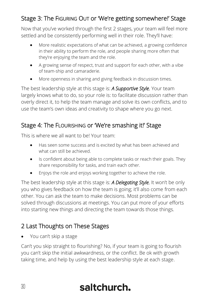#### Stage 3: The FIGURING OUT or 'We're getting somewhere!' Stage

Now that you've worked through the first 2 stages, your team will feel more settled and be consistently performing well in their role. They'll have:

- More realistic expectations of what can be achieved, a growing confidence in their ability to perform the role, and people sharing more often that they're enjoying the team and the role.
- A growing sense of respect, trust and support for each other, with a vibe of team-ship and camaraderie.
- More openness in sharing and giving feedback in discussion times.

The best leadership style at this stage is: *A Supportive Style.* Your team largely knows what to do, so your role is: to facilitate discussion rather than overly direct it, to help the team manage and solve its own conflicts, and to use the team's own ideas and creativity to shape where you go next.

#### Stage 4: The FLOURISHING or 'We're smashing it!' Stage

This is where we all want to be! Your team:

- Has seen some success and is excited by what has been achieved and what can still be achieved.
- Is confident about being able to complete tasks or reach their goals. They share responsibility for tasks, and train each other.
- Enjoys the role and enjoys working together to achieve the role.

The best leadership style at this stage is: *A Delegating Style.* It won't be only you who gives feedback on how the team is going; it'll also come from each other. You can ask the team to make decisions. Most problems can be solved through discussions at meetings. You can put more of your efforts into starting new things and directing the team towards those things.

#### 2 Last Thoughts on These Stages

• You can't skip a stage

Can't you skip straight to flourishing? No, if your team is going to flourish you can't skip the initial awkwardness, or the conflict. Be ok with growth taking time, and help by using the best leadership style at each stage.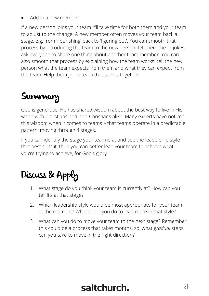• Add in a new member

If a new person joins your team it'll take time for both them and your team to adjust to the change. A new member often moves your team back a stage, e.g. from 'flourishing' back to 'figuring out'. You can smooth that process by introducing the team to the new person: tell them the in-jokes, ask everyone to share one thing about another team member. You can also smooth that process by explaining how the team works: tell the new person what the team expects from them and what they can expect from the team. Help them join a team that serves together.

## **Summary**

God is generous: He has shared wisdom about the best way to live in His world with Christians and non-Christians alike. Many experts have noticed this wisdom when it comes to teams – that teams operate in a predictable pattern, moving through 4 stages.

If you can identify the stage your team is at and use the leadership style that best suits it, then you can better lead your team to achieve what you're trying to achieve, for God's glory.

## Discuss & Apply

- 1. What stage do you think your team is currently at? How can you tell it's at that stage?
- 2. Which leadership style would be most appropriate for your team at the moment? What could you do to lead more in that style?
- 3. What can you do to move your team to the next stage? Remember this could be a process that takes months, so, what *gradual* steps can you take to move in the right direction?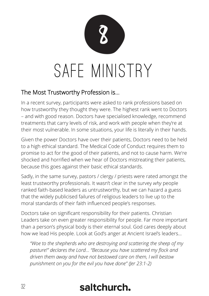<span id="page-31-0"></span>

#### The Most Trustworthy Profession is…

In a recent survey, participants were asked to rank professions based on how trustworthy they thought they were. The highest rank went to Doctors – and with good reason. Doctors have specialised knowledge, recommend treatments that carry levels of risk, and work with people when they're at their most vulnerable. In some situations, your life is literally in their hands.

Given the power Doctors have over their patients, Doctors need to be held to a high ethical standard. The Medical Code of Conduct requires them to promise to act for the good of their patients, and not to cause harm. We're shocked and horrified when we hear of Doctors mistreating their patients, because this goes against their basic ethical standards.

Sadly, in the same survey, pastors / clergy / priests were rated amongst the least trustworthy professionals. It wasn't clear in the survey *why* people ranked faith-based leaders as untrustworthy, but we can hazard a guess that the widely publicised failures of religious leaders to live up to the moral standards of their faith influenced people's responses.

Doctors take on significant responsibility for their patients. Christian Leaders take on even greater responsibility for people. Far more important than a person's physical body is their eternal soul. God cares deeply about how we lead His people. Look at God's anger at Ancient Israel's leaders…

*"Woe to the shepherds who are destroying and scattering the sheep of my pasture!" declares the Lord… "Because you have scattered my flock and driven them away and have not bestowed care on them, I will bestow punishment on you for the evil you have done" (Jer 23:1-2)*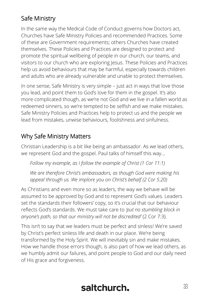#### Safe Ministry

In the same way the Medical Code of Conduct governs how Doctors act, Churches have Safe Ministry Policies and recommended Practices. Some of these are Government requirements; others Churches have created themselves. These Policies and Practices are designed to protect and promote the spiritual wellbeing of people in our church, our teams, and visitors to our church who are exploring Jesus. These Policies and Practices help us avoid behaviours that may be harmful, especially towards children and adults who are already vulnerable and unable to protect themselves.

In one sense, Safe Ministry is very simple – just act in ways that love those you lead, and point them to God's love for them in the gospel. It's also more complicated though, as we're not God and we live in a fallen world as redeemed sinners, so we're tempted to be selfish and we make mistakes. Safe Ministry Policies and Practices help to protect us and the people we lead from mistakes, unwise behaviours, foolishness and sinfulness.

#### Why Safe Ministry Matters

Christian Leadership is a bit like being an ambassador. As we lead others, we represent God and the gospel. Paul talks of himself this way…

*Follow my example, as I follow the example of Christ (1 Cor 11:1)*

*We are therefore Christ's ambassadors, as though God were making his appeal through us. We implore you on Christ's behalf (2 Cor 5:20)*

As Christians and even more so as leaders, the way we behave will be assumed to be approved by God and to represent God's values. Leaders set the standards their followers' copy, so it's crucial that our behaviour reflects God's standards. We must take care to *'put no stumbling block in anyone's path, so that our ministry will not be discredited'* (2 Cor 7:3).

This isn't to say that we leaders must be perfect and sinless! We're saved by Christ's perfect sinless life and death in our place. We're being transformed by the Holy Spirit. We will inevitably sin and make mistakes. How we handle those errors though, is also part of how we lead others, as we humbly admit our failures, and point people to God and our daily need of His grace and forgiveness.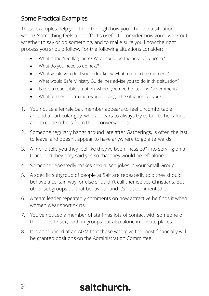#### Some Practical Examples

These examples help you think through how you'd handle a situation where "something feels a bit off". It's useful to consider how you'd work out whether to say or do something, and to make sure you know the right process you should follow. For the following situations consider:

- What is the "red flag" here? What could be the area of concern?
- What do you need to do next?
- What would you do if you didn't know what to do in the moment?
- What would Safe Ministry Guidelines advise you to do in this situation?
- Is this a reportable situation, where you need to tell the Government?
- What further information would change the situation for you?
- 1. You notice a female Salt member appears to feel uncomfortable around a particular guy, who appears to always try to talk to her alone and exclude others from their conversations.
- 2. Someone regularly hangs around late after Gatherings, is often the last to leave, and doesn't appear to have anywhere to go afterwards.
- 3. A friend tells you they feel like they've been "hassled" into serving on a team, and they only said yes so that they would be left alone.
- 4. Someone repeatedly makes sexualised jokes in your Small Group.
- 5. A specific subgroup of people at Salt are repeatedly told they should behave a certain way, or else shouldn't call themselves Christians. But other subgroups do that behaviour and it's not commented on.
- 6. A team leader repeatedly comments on how attractive he finds it when women wear short skirts.
- 7. You've noticed a member of staff has lots of contact with someone of the opposite sex, both in groups but also alone in private places.
- 8. It is announced at an AGM that those who give the most financially will be granted positions on the Administration Committee.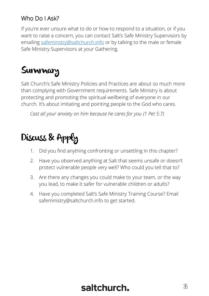#### Who Do I Ask?

If you're ever unsure what to do or how to respond to a situation, or if you want to raise a concern, you can contact Salt's Safe Ministry Supervisors by emailin[g safeminstry@saltchurch.info](mailto:safeminstry@saltchurch.info) or by talking to the male or female Safe Ministry Supervisors at your Gathering.

#### **Summary**

Salt Church's Safe Ministry Policies and Practices are about so much more than complying with Government requirements. Safe Ministry is about protecting and promoting the spiritual wellbeing of everyone in our church. It's about imitating and pointing people to the God who cares.

*Cast all your anxiety on him because he cares for you (1 Pet 5:7)*

## Discuss & Apply

- 1. Did you find anything confronting or unsettling in this chapter?
- 2. Have you observed anything at Salt that seems unsafe or doesn't protect vulnerable people very well? Who could you tell that to?
- 3. Are there any changes you could make to your team, or the way you lead, to make it safer for vulnerable children or adults?
- 4. Have you completed Salt's Safe Ministry Training Course? Email safeministry@saltchurch.info to get started.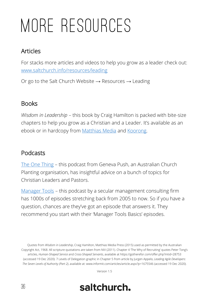## <span id="page-35-0"></span>More Resources

#### Articles

For stacks more articles and videos to help you grow as a leader check out: [www.saltchurch.info/resources/leading](http://www.saltchurch.info/resources/leading)

Or go to the Salt Church Website  $\rightarrow$  Resources  $\rightarrow$  Leading

#### **Books**

*Wisdom in Leadership* – this book by Craig Hamilton is packed with bite-size chapters to help you grow as a Christian and a Leader. It's available as an ebook or in hardcopy from [Matthias Media](https://matthiasmedia.com.au/products/wisdom-in-leadership) an[d Koorong.](https://www.koorong.com/product/wisdom-in-leadership-the-how-and-why-of_9781922206718?gclid=CjwKCAjwjdOIBhA_EiwAHz8xmxtq37cQrlqBvMWEGkEGj2egEEVNYG87qh7RkNlsbHRLLBXBHQaN8xoCEC4QAvD_BwE)

#### Podcasts

[The One Thing](https://genevapush.com/theonethingpodcast) – this podcast from Geneva Push, an Australian Church Planting organisation, has insightful advice on a bunch of topics for Christian Leaders and Pastors.

[Manager Tools](https://www.manager-tools.com/) – this podcast by a secular management consulting firm has 1000s of episodes stretching back from 2005 to now. So if you have a question, chances are they've got an episode that answers it. They recommend you start with their 'Manager Tools Basics' episodes.

Quotes from *Wisdom in Leadership*, Craig Hamilton, Matthias Media Press (2015) used as permitted by the Australian Copyright Act, 1968. All scripture quotations are taken from NIV (2011). Chapter 4 'The Why of Recruiting' quotes Peter Tong's articles, *Human-Shaped Service* and *Cross-Shaped Servants*, available at https://gotherefor.com/offer.php?intid=28753 (accessed 19 Dec 2020). 7 Levels of Delegation graphic in Chapter 5 from article by Jurgen Appelo, *Leading Agile Developers: The Seven Levels of Authority (Part 2)*, available at: www.informit.com/articles/article.aspx?p=1675546 (accessed 19 Dec 2020).

Version 1.5